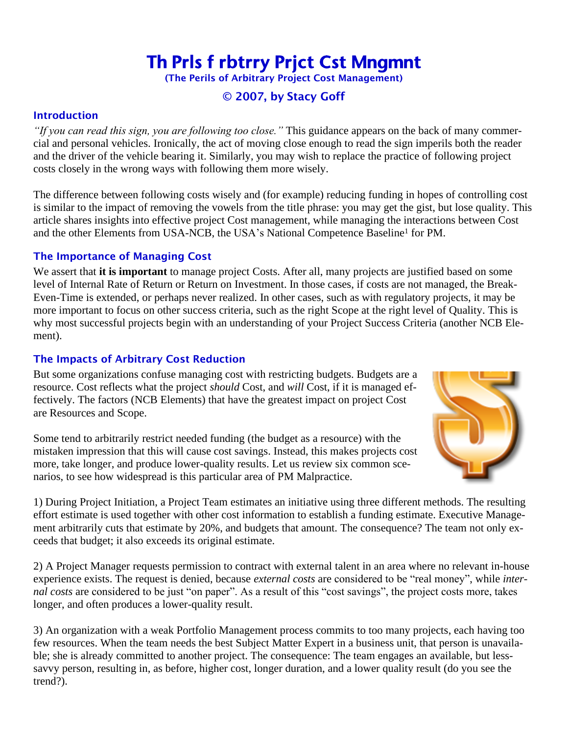# Th Prls f rbtrry Prjct Cst Mngmnt

(The Perils of Arbitrary Project Cost Management)

# © 2007, by Stacy Goff

#### **Introduction**

*"If you can read this sign, you are following too close."* This guidance appears on the back of many commercial and personal vehicles. Ironically, the act of moving close enough to read the sign imperils both the reader and the driver of the vehicle bearing it. Similarly, you may wish to replace the practice of following project costs closely in the wrong ways with following them more wisely.

The difference between following costs wisely and (for example) reducing funding in hopes of controlling cost is similar to the impact of removing the vowels from the title phrase: you may get the gist, but lose quality. This article shares insights into effective project Cost management, while managing the interactions between Cost and the other Elements from USA-NCB, the USA's National Competence Baseline<sup>1</sup> for PM.

# The Importance of Managing Cost

We assert that **it is important** to manage project Costs. After all, many projects are justified based on some level of Internal Rate of Return or Return on Investment. In those cases, if costs are not managed, the Break-Even-Time is extended, or perhaps never realized. In other cases, such as with regulatory projects, it may be more important to focus on other success criteria, such as the right Scope at the right level of Quality. This is why most successful projects begin with an understanding of your Project Success Criteria (another NCB Element).

# The Impacts of Arbitrary Cost Reduction

But some organizations confuse managing cost with restricting budgets. Budgets are a resource. Cost reflects what the project *should* Cost, and *will* Cost, if it is managed effectively. The factors (NCB Elements) that have the greatest impact on project Cost are Resources and Scope.



Some tend to arbitrarily restrict needed funding (the budget as a resource) with the mistaken impression that this will cause cost savings. Instead, this makes projects cost more, take longer, and produce lower-quality results. Let us review six common scenarios, to see how widespread is this particular area of PM Malpractice.

1) During Project Initiation, a Project Team estimates an initiative using three different methods. The resulting effort estimate is used together with other cost information to establish a funding estimate. Executive Management arbitrarily cuts that estimate by 20%, and budgets that amount. The consequence? The team not only exceeds that budget; it also exceeds its original estimate.

2) A Project Manager requests permission to contract with external talent in an area where no relevant in-house experience exists. The request is denied, because *external costs* are considered to be "real money", while *internal costs* are considered to be just "on paper". As a result of this "cost savings", the project costs more, takes longer, and often produces a lower-quality result.

3) An organization with a weak Portfolio Management process commits to too many projects, each having too few resources. When the team needs the best Subject Matter Expert in a business unit, that person is unavailable; she is already committed to another project. The consequence: The team engages an available, but lesssavvy person, resulting in, as before, higher cost, longer duration, and a lower quality result (do you see the trend?).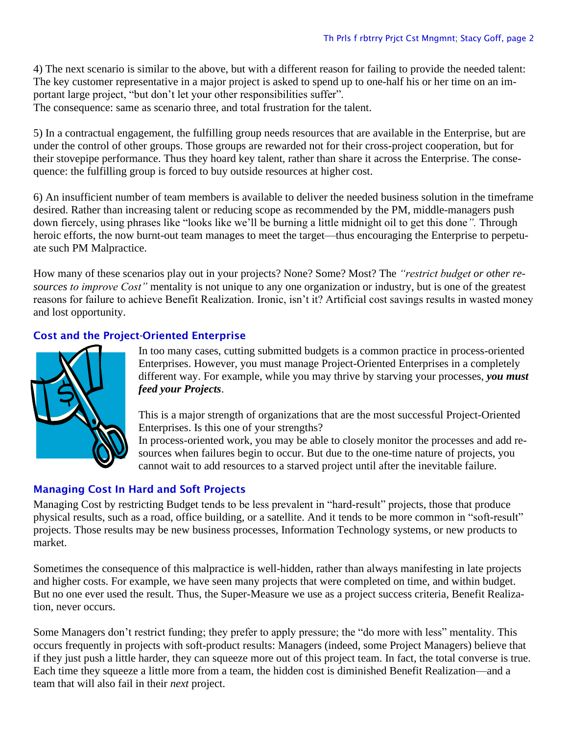4) The next scenario is similar to the above, but with a different reason for failing to provide the needed talent: The key customer representative in a major project is asked to spend up to one-half his or her time on an important large project, "but don't let your other responsibilities suffer".

The consequence: same as scenario three, and total frustration for the talent.

5) In a contractual engagement, the fulfilling group needs resources that are available in the Enterprise, but are under the control of other groups. Those groups are rewarded not for their cross-project cooperation, but for their stovepipe performance. Thus they hoard key talent, rather than share it across the Enterprise. The consequence: the fulfilling group is forced to buy outside resources at higher cost.

6) An insufficient number of team members is available to deliver the needed business solution in the timeframe desired. Rather than increasing talent or reducing scope as recommended by the PM, middle-managers push down fiercely, using phrases like "looks like we'll be burning a little midnight oil to get this done*".* Through heroic efforts, the now burnt-out team manages to meet the target—thus encouraging the Enterprise to perpetuate such PM Malpractice.

How many of these scenarios play out in your projects? None? Some? Most? The *"restrict budget or other resources to improve Cost"* mentality is not unique to any one organization or industry, but is one of the greatest reasons for failure to achieve Benefit Realization. Ironic, isn't it? Artificial cost savings results in wasted money and lost opportunity.

# Cost and the Project-Oriented Enterprise



In too many cases, cutting submitted budgets is a common practice in process-oriented Enterprises. However, you must manage Project-Oriented Enterprises in a completely different way. For example, while you may thrive by starving your processes, *you must feed your Projects*.

This is a major strength of organizations that are the most successful Project-Oriented Enterprises. Is this one of your strengths?

In process-oriented work, you may be able to closely monitor the processes and add resources when failures begin to occur. But due to the one-time nature of projects, you cannot wait to add resources to a starved project until after the inevitable failure.

# Managing Cost In Hard and Soft Projects

Managing Cost by restricting Budget tends to be less prevalent in "hard-result" projects, those that produce physical results, such as a road, office building, or a satellite. And it tends to be more common in "soft-result" projects. Those results may be new business processes, Information Technology systems, or new products to market.

Sometimes the consequence of this malpractice is well-hidden, rather than always manifesting in late projects and higher costs. For example, we have seen many projects that were completed on time, and within budget. But no one ever used the result. Thus, the Super-Measure we use as a project success criteria, Benefit Realization, never occurs.

Some Managers don't restrict funding; they prefer to apply pressure; the "do more with less" mentality. This occurs frequently in projects with soft-product results: Managers (indeed, some Project Managers) believe that if they just push a little harder, they can squeeze more out of this project team. In fact, the total converse is true. Each time they squeeze a little more from a team, the hidden cost is diminished Benefit Realization—and a team that will also fail in their *next* project.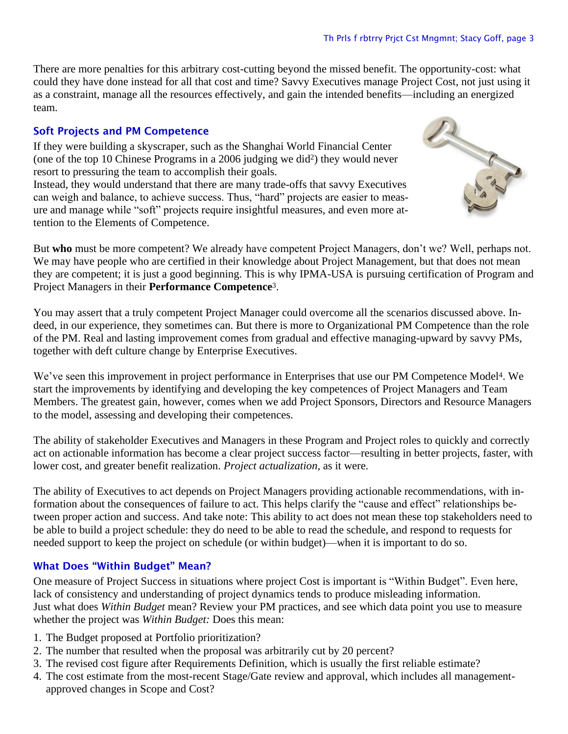There are more penalties for this arbitrary cost-cutting beyond the missed benefit. The opportunity-cost: what could they have done instead for all that cost and time? Savvy Executives manage Project Cost, not just using it as a constraint, manage all the resources effectively, and gain the intended benefits—including an energized team.

#### Soft Projects and PM Competence

If they were building a skyscraper, such as the Shanghai World Financial Center (one of the top 10 Chinese Programs in a 2006 judging we did2) they would never resort to pressuring the team to accomplish their goals.

Instead, they would understand that there are many trade-offs that savvy Executives can weigh and balance, to achieve success. Thus, "hard" projects are easier to measure and manage while "soft" projects require insightful measures, and even more attention to the Elements of Competence.



But **who** must be more competent? We already have competent Project Managers, don't we? Well, perhaps not. We may have people who are certified in their knowledge about Project Management, but that does not mean they are competent; it is just a good beginning. This is why IPMA-USA is pursuing certification of Program and Project Managers in their **Performance Competence**3.

You may assert that a truly competent Project Manager could overcome all the scenarios discussed above. Indeed, in our experience, they sometimes can. But there is more to Organizational PM Competence than the role of the PM. Real and lasting improvement comes from gradual and effective managing-upward by savvy PMs, together with deft culture change by Enterprise Executives.

We've seen this improvement in project performance in Enterprises that use our PM Competence Model4. We start the improvements by identifying and developing the key competences of Project Managers and Team Members. The greatest gain, however, comes when we add Project Sponsors, Directors and Resource Managers to the model, assessing and developing their competences.

The ability of stakeholder Executives and Managers in these Program and Project roles to quickly and correctly act on actionable information has become a clear project success factor—resulting in better projects, faster, with lower cost, and greater benefit realization. *Project actualization*, as it were.

The ability of Executives to act depends on Project Managers providing actionable recommendations, with information about the consequences of failure to act. This helps clarify the "cause and effect" relationships between proper action and success. And take note: This ability to act does not mean these top stakeholders need to be able to build a project schedule: they do need to be able to read the schedule, and respond to requests for needed support to keep the project on schedule (or within budget)—when it is important to do so.

# What Does "Within Budget" Mean?

One measure of Project Success in situations where project Cost is important is "Within Budget". Even here, lack of consistency and understanding of project dynamics tends to produce misleading information. Just what does *Within Budget* mean? Review your PM practices, and see which data point you use to measure whether the project was *Within Budget:* Does this mean:

- 1. The Budget proposed at Portfolio prioritization?
- 2. The number that resulted when the proposal was arbitrarily cut by 20 percent?
- 3. The revised cost figure after Requirements Definition, which is usually the first reliable estimate?
- 4. The cost estimate from the most-recent Stage/Gate review and approval, which includes all managementapproved changes in Scope and Cost?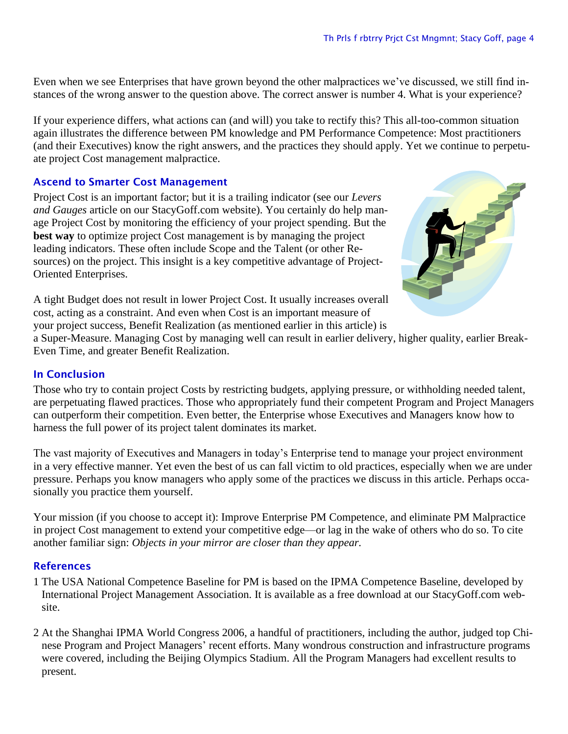Even when we see Enterprises that have grown beyond the other malpractices we've discussed, we still find instances of the wrong answer to the question above. The correct answer is number 4. What is your experience?

If your experience differs, what actions can (and will) you take to rectify this? This all-too-common situation again illustrates the difference between PM knowledge and PM Performance Competence: Most practitioners (and their Executives) know the right answers, and the practices they should apply. Yet we continue to perpetuate project Cost management malpractice.

# Ascend to Smarter Cost Management

Project Cost is an important factor; but it is a trailing indicator (see our *Levers and Gauges* article on our StacyGoff.com website). You certainly do help manage Project Cost by monitoring the efficiency of your project spending. But the **best way** to optimize project Cost management is by managing the project leading indicators. These often include Scope and the Talent (or other Resources) on the project. This insight is a key competitive advantage of Project-Oriented Enterprises.



A tight Budget does not result in lower Project Cost. It usually increases overall cost, acting as a constraint. And even when Cost is an important measure of your project success, Benefit Realization (as mentioned earlier in this article) is

a Super-Measure. Managing Cost by managing well can result in earlier delivery, higher quality, earlier Break-Even Time, and greater Benefit Realization.

# In Conclusion

Those who try to contain project Costs by restricting budgets, applying pressure, or withholding needed talent, are perpetuating flawed practices. Those who appropriately fund their competent Program and Project Managers can outperform their competition. Even better, the Enterprise whose Executives and Managers know how to harness the full power of its project talent dominates its market.

The vast majority of Executives and Managers in today's Enterprise tend to manage your project environment in a very effective manner. Yet even the best of us can fall victim to old practices, especially when we are under pressure. Perhaps you know managers who apply some of the practices we discuss in this article. Perhaps occasionally you practice them yourself.

Your mission (if you choose to accept it): Improve Enterprise PM Competence, and eliminate PM Malpractice in project Cost management to extend your competitive edge—or lag in the wake of others who do so. To cite another familiar sign: *Objects in your mirror are closer than they appear.*

# **References**

- 1 The USA National Competence Baseline for PM is based on the IPMA Competence Baseline, developed by International Project Management Association. It is available as a free download at our StacyGoff.com website.
- 2 At the Shanghai IPMA World Congress 2006, a handful of practitioners, including the author, judged top Chinese Program and Project Managers' recent efforts. Many wondrous construction and infrastructure programs were covered, including the Beijing Olympics Stadium. All the Program Managers had excellent results to present.